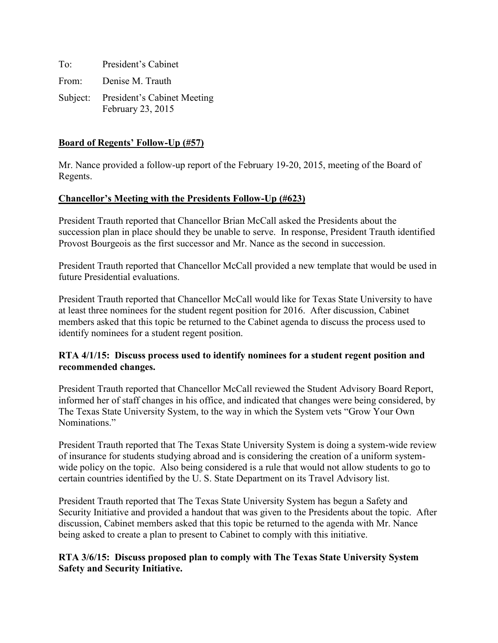To: President's Cabinet From: Denise M. Trauth Subject: President's Cabinet Meeting February 23, 2015

### **Board of Regents' Follow-Up (#57)**

Mr. Nance provided a follow-up report of the February 19-20, 2015, meeting of the Board of Regents.

### **Chancellor's Meeting with the Presidents Follow-Up (#623)**

President Trauth reported that Chancellor Brian McCall asked the Presidents about the succession plan in place should they be unable to serve. In response, President Trauth identified Provost Bourgeois as the first successor and Mr. Nance as the second in succession.

President Trauth reported that Chancellor McCall provided a new template that would be used in future Presidential evaluations.

President Trauth reported that Chancellor McCall would like for Texas State University to have at least three nominees for the student regent position for 2016. After discussion, Cabinet members asked that this topic be returned to the Cabinet agenda to discuss the process used to identify nominees for a student regent position.

### **RTA 4/1/15: Discuss process used to identify nominees for a student regent position and recommended changes.**

President Trauth reported that Chancellor McCall reviewed the Student Advisory Board Report, informed her of staff changes in his office, and indicated that changes were being considered, by The Texas State University System, to the way in which the System vets "Grow Your Own Nominations<sup>"</sup>

President Trauth reported that The Texas State University System is doing a system-wide review of insurance for students studying abroad and is considering the creation of a uniform systemwide policy on the topic. Also being considered is a rule that would not allow students to go to certain countries identified by the U. S. State Department on its Travel Advisory list.

President Trauth reported that The Texas State University System has begun a Safety and Security Initiative and provided a handout that was given to the Presidents about the topic. After discussion, Cabinet members asked that this topic be returned to the agenda with Mr. Nance being asked to create a plan to present to Cabinet to comply with this initiative.

# **RTA 3/6/15: Discuss proposed plan to comply with The Texas State University System Safety and Security Initiative.**